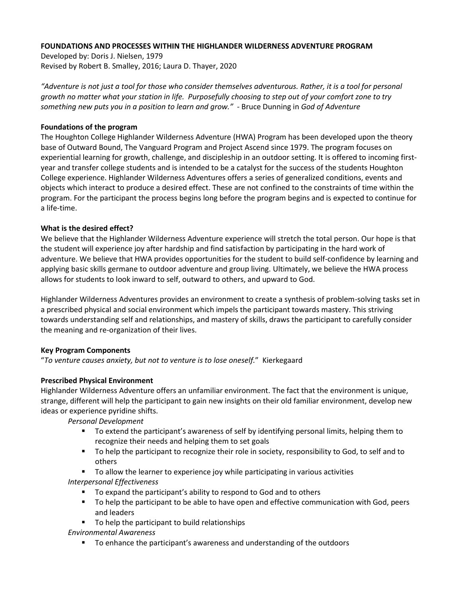## **FOUNDATIONS AND PROCESSES WITHIN THE HIGHLANDER WILDERNESS ADVENTURE PROGRAM**

Developed by: Doris J. Nielsen, 1979 Revised by Robert B. Smalley, 2016; Laura D. Thayer, 2020

*"Adventure is not just a tool for those who consider themselves adventurous. Rather, it is a tool for personal growth no matter what your station in life. Purposefully choosing to step out of your comfort zone to try something new puts you in a position to learn and grow." -* Bruce Dunning in *God of Adventure*

### **Foundations of the program**

The Houghton College Highlander Wilderness Adventure (HWA) Program has been developed upon the theory base of Outward Bound, The Vanguard Program and Project Ascend since 1979. The program focuses on experiential learning for growth, challenge, and discipleship in an outdoor setting. It is offered to incoming firstyear and transfer college students and is intended to be a catalyst for the success of the students Houghton College experience. Highlander Wilderness Adventures offers a series of generalized conditions, events and objects which interact to produce a desired effect. These are not confined to the constraints of time within the program. For the participant the process begins long before the program begins and is expected to continue for a life-time.

### **What is the desired effect?**

We believe that the Highlander Wilderness Adventure experience will stretch the total person. Our hope is that the student will experience joy after hardship and find satisfaction by participating in the hard work of adventure. We believe that HWA provides opportunities for the student to build self-confidence by learning and applying basic skills germane to outdoor adventure and group living. Ultimately, we believe the HWA process allows for students to look inward to self, outward to others, and upward to God.

Highlander Wilderness Adventures provides an environment to create a synthesis of problem-solving tasks set in a prescribed physical and social environment which impels the participant towards mastery. This striving towards understanding self and relationships, and mastery of skills, draws the participant to carefully consider the meaning and re-organization of their lives.

### **Key Program Components**

"*To venture causes anxiety, but not to venture is to lose oneself.*" Kierkegaard

### **Prescribed Physical Environment**

Highlander Wilderness Adventure offers an unfamiliar environment. The fact that the environment is unique, strange, different will help the participant to gain new insights on their old familiar environment, develop new ideas or experience pyridine shifts.

*Personal Development*

- To extend the participant's awareness of self by identifying personal limits, helping them to recognize their needs and helping them to set goals
- To help the participant to recognize their role in society, responsibility to God, to self and to others
- To allow the learner to experience joy while participating in various activities *Interpersonal Effectiveness*
	- To expand the participant's ability to respond to God and to others
	- To help the participant to be able to have open and effective communication with God, peers and leaders
	- To help the participant to build relationships

*Environmental Awareness*

■ To enhance the participant's awareness and understanding of the outdoors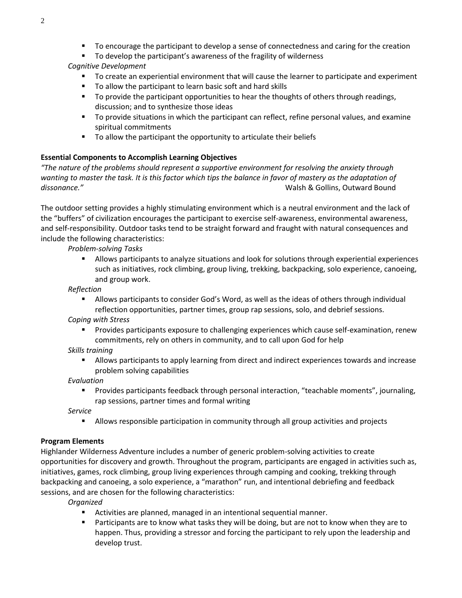■ To encourage the participant to develop a sense of connectedness and caring for the creation

■ To develop the participant's awareness of the fragility of wilderness

# *Cognitive Development*

- To create an experiential environment that will cause the learner to participate and experiment
- To allow the participant to learn basic soft and hard skills
- To provide the participant opportunities to hear the thoughts of others through readings, discussion; and to synthesize those ideas
- To provide situations in which the participant can reflect, refine personal values, and examine spiritual commitments
- To allow the participant the opportunity to articulate their beliefs

# **Essential Components to Accomplish Learning Objectives**

*"The nature of the problems should represent a supportive environment for resolving the anxiety through*  wanting to master the task. It is this factor which tips the balance in favor of mastery as the adaptation of *dissonance."* Walsh & Gollins, Outward Bound

The outdoor setting provides a highly stimulating environment which is a neutral environment and the lack of the "buffers" of civilization encourages the participant to exercise self-awareness, environmental awareness, and self-responsibility. Outdoor tasks tend to be straight forward and fraught with natural consequences and include the following characteristics:

*Problem-solving Tasks*

■ Allows participants to analyze situations and look for solutions through experiential experiences such as initiatives, rock climbing, group living, trekking, backpacking, solo experience, canoeing, and group work.

*Reflection*

**EXECO Allows participants to consider God's Word, as well as the ideas of others through individual** reflection opportunities, partner times, group rap sessions, solo, and debrief sessions.

*Coping with Stress*

**•** Provides participants exposure to challenging experiences which cause self-examination, renew commitments, rely on others in community, and to call upon God for help

# *Skills training*

**EXECT Allows participants to apply learning from direct and indirect experiences towards and increase** problem solving capabilities

*Evaluation*

Provides participants feedback through personal interaction, "teachable moments", journaling, rap sessions, partner times and formal writing

*Service*

Allows responsible participation in community through all group activities and projects

# **Program Elements**

Highlander Wilderness Adventure includes a number of generic problem-solving activities to create opportunities for discovery and growth. Throughout the program, participants are engaged in activities such as, initiatives, games, rock climbing, group living experiences through camping and cooking, trekking through backpacking and canoeing, a solo experience, a "marathon" run, and intentional debriefing and feedback sessions, and are chosen for the following characteristics:

*Organized* 

- Activities are planned, managed in an intentional sequential manner.
- Participants are to know what tasks they will be doing, but are not to know when they are to happen. Thus, providing a stressor and forcing the participant to rely upon the leadership and develop trust.